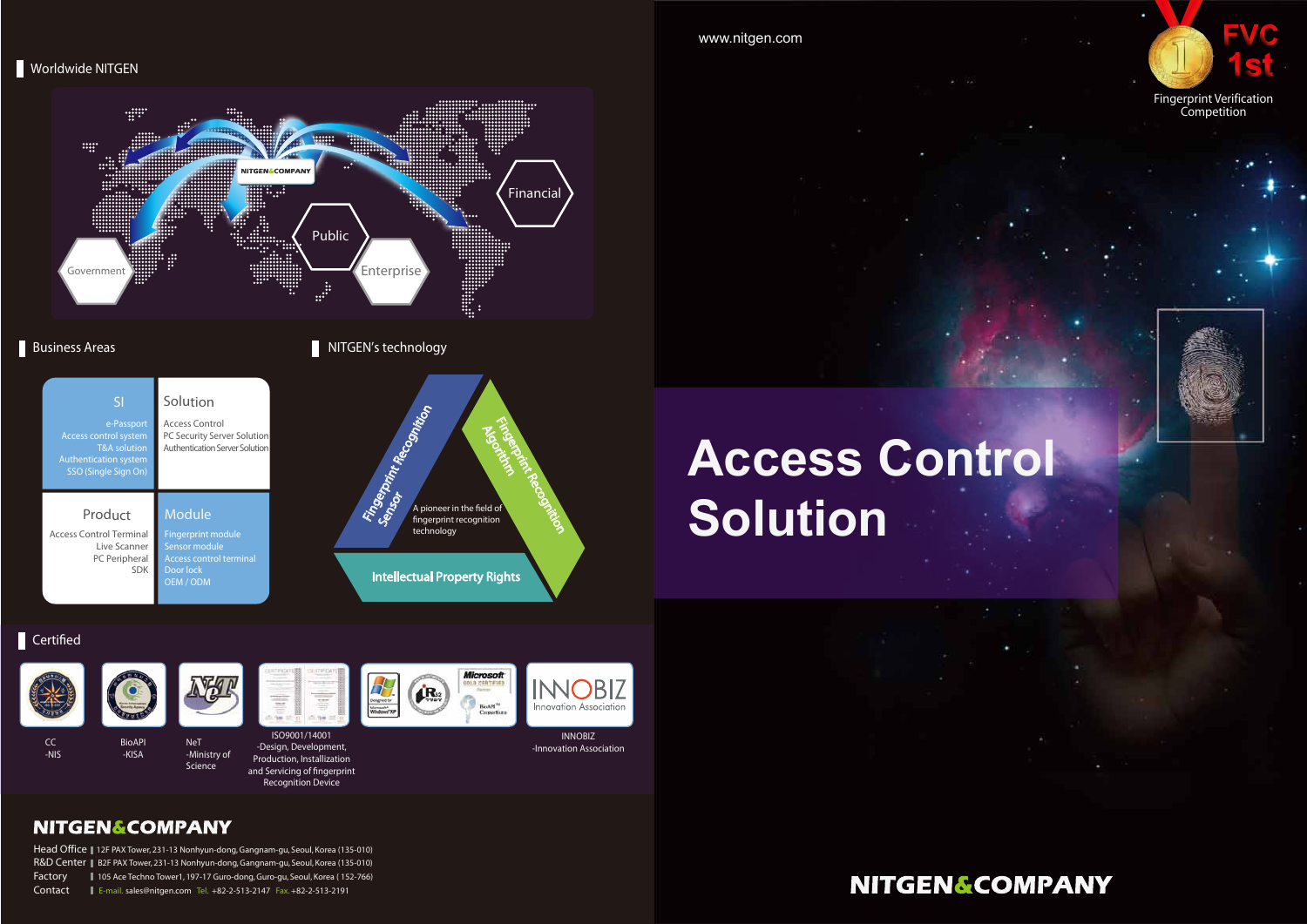# **Access Control Solution**

#### $\blacksquare$  Certified



www.nitgen.com

#### **Worldwide NITGEN**

CC -NIS



BioAPI -KISA



NeT -Ministry of Science



ISO9001/14001 -Design, Development, Production, Installization and Servicing of fingerprint Recognition Device





INNOBIZ -Innovation Association

## **NITGEN&COMPANY**

e-Passpor Access control system T&A solution Authentication syster SSO (Single Sign Or Access Control Terminal Live Scanner PC Peripheral SDK Access Control PC Security Server Solution Authentication Server Solution Fingerprint module ensor module Access control terminal Door lock OEM / ODM SI Product Module Solution

Head Office || 12F PAX Tower, 231-13 Nonhyun-dong, Gangnam-gu, Seoul, Korea (135-010) R&D Center | B2F PAX Tower, 231-13 Nonhyun-dong, Gangnam-gu, Seoul, Korea (135-010) Factory 105 Ace Techno Tower1, 197-17 Guro-dong, Guro-gu, Seoul, Korea ( 152-766) Contact E-mail. sales@nitgen.com Tel. +82-2-513-2147 Fax. +82-2-513-2191

## **NITGEN&COMPANY**





Fingerprint Verification Competition







#### **Business Areas**